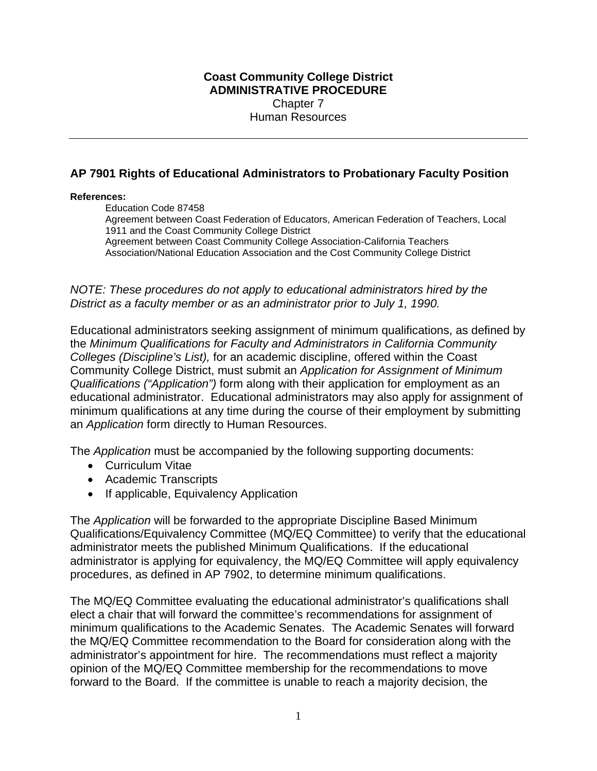## **Coast Community College District ADMINISTRATIVE PROCEDURE**  Chapter 7 Human Resources

## **AP 7901 Rights of Educational Administrators to Probationary Faculty Position**

## **References:**

Education Code 87458 Agreement between Coast Federation of Educators, American Federation of Teachers, Local 1911 and the Coast Community College District Agreement between Coast Community College Association-California Teachers Association/National Education Association and the Cost Community College District

*NOTE: These procedures do not apply to educational administrators hired by the District as a faculty member or as an administrator prior to July 1, 1990.* 

Educational administrators seeking assignment of minimum qualifications, as defined by the *Minimum Qualifications for Faculty and Administrators in California Community Colleges (Discipline's List),* for an academic discipline, offered within the Coast Community College District, must submit an *Application for Assignment of Minimum Qualifications ("Application")* form along with their application for employment as an educational administrator. Educational administrators may also apply for assignment of minimum qualifications at any time during the course of their employment by submitting an *Application* form directly to Human Resources.

The *Application* must be accompanied by the following supporting documents:

- Curriculum Vitae
- Academic Transcripts
- If applicable, Equivalency Application

The *Application* will be forwarded to the appropriate Discipline Based Minimum Qualifications/Equivalency Committee (MQ/EQ Committee) to verify that the educational administrator meets the published Minimum Qualifications. If the educational administrator is applying for equivalency, the MQ/EQ Committee will apply equivalency procedures, as defined in AP 7902, to determine minimum qualifications.

The MQ/EQ Committee evaluating the educational administrator's qualifications shall elect a chair that will forward the committee's recommendations for assignment of minimum qualifications to the Academic Senates. The Academic Senates will forward the MQ/EQ Committee recommendation to the Board for consideration along with the administrator's appointment for hire. The recommendations must reflect a majority opinion of the MQ/EQ Committee membership for the recommendations to move forward to the Board. If the committee is unable to reach a majority decision, the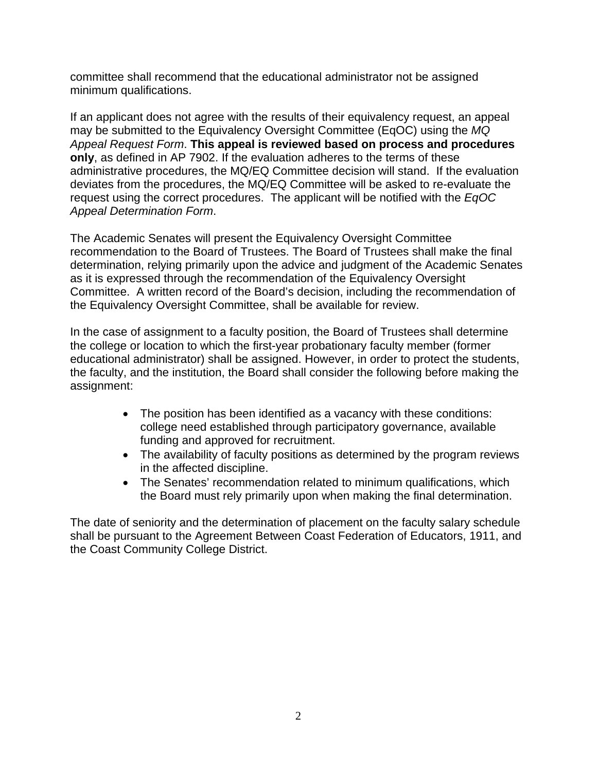committee shall recommend that the educational administrator not be assigned minimum qualifications.

If an applicant does not agree with the results of their equivalency request, an appeal may be submitted to the Equivalency Oversight Committee (EqOC) using the *MQ Appeal Request Form*. **This appeal is reviewed based on process and procedures only**, as defined in AP 7902. If the evaluation adheres to the terms of these administrative procedures, the MQ/EQ Committee decision will stand. If the evaluation deviates from the procedures, the MQ/EQ Committee will be asked to re-evaluate the request using the correct procedures. The applicant will be notified with the *EqOC Appeal Determination Form*.

The Academic Senates will present the Equivalency Oversight Committee recommendation to the Board of Trustees. The Board of Trustees shall make the final determination, relying primarily upon the advice and judgment of the Academic Senates as it is expressed through the recommendation of the Equivalency Oversight Committee. A written record of the Board's decision, including the recommendation of the Equivalency Oversight Committee, shall be available for review.

In the case of assignment to a faculty position, the Board of Trustees shall determine the college or location to which the first-year probationary faculty member (former educational administrator) shall be assigned. However, in order to protect the students, the faculty, and the institution, the Board shall consider the following before making the assignment:

- The position has been identified as a vacancy with these conditions: college need established through participatory governance, available funding and approved for recruitment.
- The availability of faculty positions as determined by the program reviews in the affected discipline.
- The Senates' recommendation related to minimum qualifications, which the Board must rely primarily upon when making the final determination.

The date of seniority and the determination of placement on the faculty salary schedule shall be pursuant to the Agreement Between Coast Federation of Educators, 1911, and the Coast Community College District.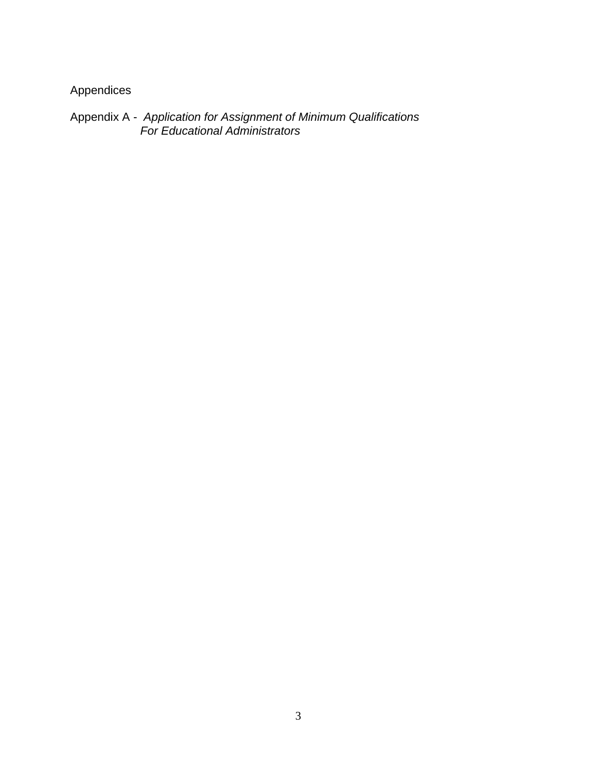Appendices

Appendix A - *Application for Assignment of Minimum Qualifications For Educational Administrators*